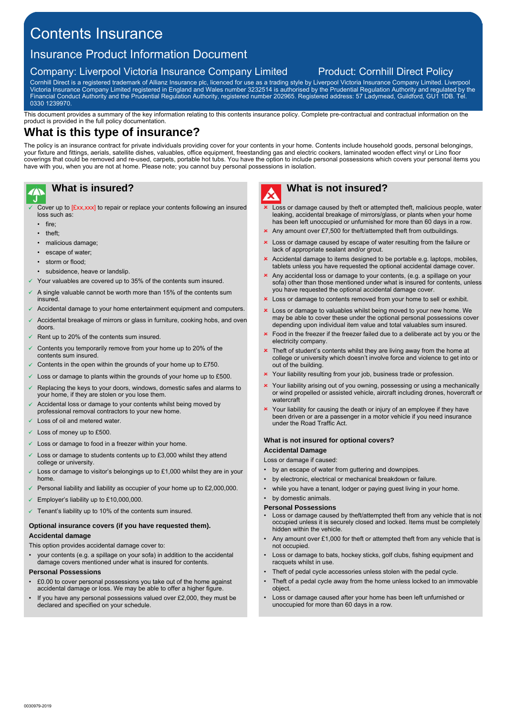# Contents Insurance

# Insurance Product Information Document

# Company: Liverpool Victoria Insurance Company Limited Product: Cornhill Direct Policy

Cornhill Direct is a registered trademark of Allianz Insurance plc, licenced for use as a trading style by Liverpool Victoria Insurance Company Limited. Liverpool Victoria Insurance Company Limited registered in England and Wales number 3232514 is authorised by the Prudential Regulation Authority and regulated by the Financial Conduct Authority and the Prudential Regulation Authority, registered number 202965. Registered address: 57 Ladymead, Guildford, GU1 1DB. Tel. 0330 1239970.

This document provides a summary of the key information relating to this contents insurance policy. Complete pre-contractual and contractual information on the product is provided in the full policy documentation.

# **What is this type of insurance?**

The policy is an insurance contract for private individuals providing cover for your contents in your home. Contents include household goods, personal belongings, your fixture and fittings, aerials, satellite dishes, valuables, office equipment, freestanding gas and electric cookers, laminated wooden effect vinyl or Lino floor coverings that could be removed and re-used, carpets, portable hot tubs. You have the option to include personal possessions which covers your personal items you have with you, when you are not at home. Please note; you cannot buy personal possessions in isolation.

# **What is insured?**

- Cover up to [£xx,xxx] to repair or replace your contents following an insured loss such as:
- fire
- theft;
- malicious damage:
- escape of water;
- storm or flood;
- subsidence, heave or landslip.
- Your valuables are covered up to 35% of the contents sum insured.
- A single valuable cannot be worth more than 15% of the contents sum insured.
- Accidental damage to your home entertainment equipment and computers.
- Accidental breakage of mirrors or glass in furniture, cooking hobs, and oven doors.
- Rent up to 20% of the contents sum insured.
- Contents you temporarily remove from your home up to 20% of the contents sum insured.
- $\checkmark$  Contents in the open within the grounds of your home up to £750.
- Loss or damage to plants within the grounds of your home up to £500.
- Replacing the keys to your doors, windows, domestic safes and alarms to your home, if they are stolen or you lose them
- Accidental loss or damage to your contents whilst being moved by professional removal contractors to your new home.
- Loss of oil and metered water.
- $\times$  Loss of money up to £500.
- Loss or damage to food in a freezer within your home.
- Loss or damage to students contents up to £3,000 whilst they attend college or university.
- Loss or damage to visitor's belongings up to £1,000 whilst they are in your home.
- Personal liability and liability as occupier of your home up to  $£2.000,000$ .
- $\leq$  Employer's liability up to £10,000,000
- $\checkmark$  Tenant's liability up to 10% of the contents sum insured.

### **Optional insurance covers (if you have requested them). Accidental damage**

This option provides accidental damage cover to:

• your contents (e.g. a spillage on your sofa) in addition to the accidental damage covers mentioned under what is insured for contents.

### **Personal Possessions**

- £0.00 to cover personal possessions you take out of the home against accidental damage or loss. We may be able to offer a higher figure.
- If you have any personal possessions valued over £2,000, they must be declared and specified on your schedule.



# **What is not insured?**

- $\overline{\phantom{a}}$  Loss or damage caused by theft or attempted theft, malicious people, water leaking, accidental breakage of mirrors/glass, or plants when your home has been left unoccupied or unfurnished for more than 60 days in a row.
- Any amount over £7,500 for theft/attempted theft from outbuildings.
- Loss or damage caused by escape of water resulting from the failure or lack of appropriate sealant and/or grout.
- $\mathbf x$ Accidental damage to items designed to be portable e.g. laptops, mobiles, tablets unless you have requested the optional accidental damage cover.
- Any accidental loss or damage to your contents, (e.g. a spillage on your sofa) other than those mentioned under what is insured for contents, unless you have requested the optional accidental damage cover.
- Loss or damage to contents removed from your home to sell or exhibit.
- Loss or damage to valuables whilst being moved to your new home. We may be able to cover these under the optional personal possessions cover depending upon individual item value and total valuables sum insured.
- Food in the freezer if the freezer failed due to a deliberate act by you or the electricity company.
- Theft of student's contents whilst they are living away from the home at college or university which doesn't involve force and violence to get into or out of the building.
- Your liability resulting from your job, business trade or profession.
- Your liability arising out of you owning, possessing or using a mechanically or wind propelled or assisted vehicle, aircraft including drones, hovercraft or watercraft
- Your liability for causing the death or injury of an employee if they have been driven or are a passenger in a motor vehicle if you need insurance under the Road Traffic Act.

### **What is not insured for optional covers?**

**Accidental Damage**

Loss or damage if caused:

- by an escape of water from guttering and downpipes.
- by electronic, electrical or mechanical breakdown or failure.
- while you have a tenant, lodger or paying guest living in your home.
- by domestic animals.

### **Personal Possessions**

- Loss or damage caused by theft/attempted theft from any vehicle that is not occupied unless it is securely closed and locked. Items must be completely hidden within the vehicle.
- Any amount over £1,000 for theft or attempted theft from any vehicle that is not occupied.
- Loss or damage to bats, hockey sticks, golf clubs, fishing equipment and racquets whilst in use.
- Theft of pedal cycle accessories unless stolen with the pedal cycle.
- Theft of a pedal cycle away from the home unless locked to an immovable object.
- Loss or damage caused after your home has been left unfurnished or unoccupied for more than 60 days in a row.